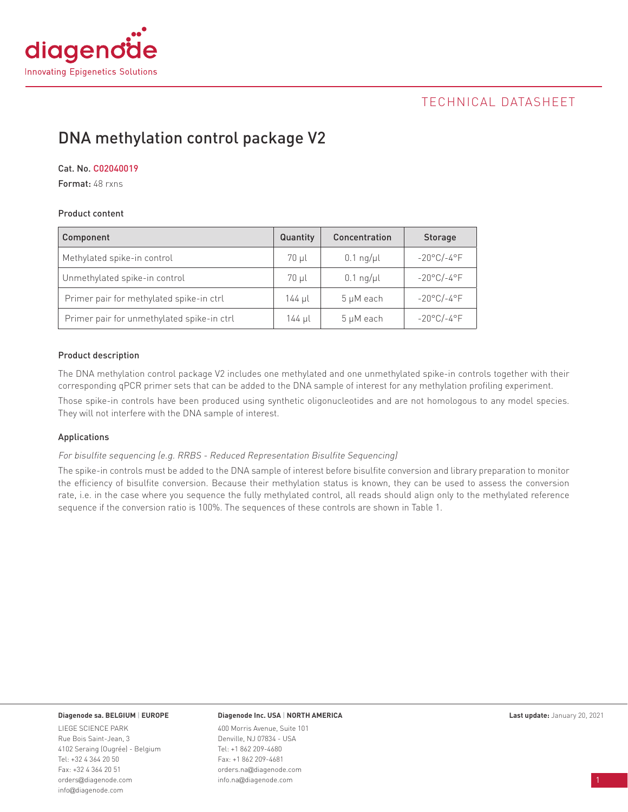

## TECHNICAL DATASHEET

# DNA methylation control package V2

#### Cat. No. C02040019

Format: 48 rxns

#### Product content

| Component                                  | Quantity | Concentration | <b>Storage</b>       |
|--------------------------------------------|----------|---------------|----------------------|
| Methylated spike-in control                | 70 µl    | $0.1$ ng/µl   | $-20^{\circ}$ C/-4°F |
| Unmethylated spike-in control              | 70 µl    | $0.1$ ng/µl   | $-20^{\circ}$ C/-4°F |
| Primer pair for methylated spike-in ctrl   | 144 µl   | 5 µM each     | $-20^{\circ}$ C/-4°F |
| Primer pair for unmethylated spike-in ctrl | 144 µl   | 5 µM each     | $-20^{\circ}$ C/-4°F |

#### Product description

The DNA methylation control package V2 includes one methylated and one unmethylated spike-in controls together with their corresponding qPCR primer sets that can be added to the DNA sample of interest for any methylation profiling experiment.

Those spike-in controls have been produced using synthetic oligonucleotides and are not homologous to any model species. They will not interfere with the DNA sample of interest.

#### Applications

For bisulfite sequencing (e.g. RRBS - Reduced Representation Bisulfite Sequencing)

The spike-in controls must be added to the DNA sample of interest before bisulfite conversion and library preparation to monitor the efficiency of bisulfite conversion. Because their methylation status is known, they can be used to assess the conversion rate, i.e. in the case where you sequence the fully methylated control, all reads should align only to the methylated reference sequence if the conversion ratio is 100%. The sequences of these controls are shown in Table 1.

LIEGE SCIENCE PARK Rue Bois Saint-Jean, 3 4102 Seraing (Ougrée) - Belgium Tel: +32 4 364 20 50 Fax: +32 4 364 20 51 orders@diagenode.com info@diagenode.com

#### **Diagenode sa. BELGIUM** | **EUROPE Last update:** January 20, 2021 **Diagenode Inc. USA** | **NORTH AMERICA**

400 Morris Avenue, Suite 101 Denville, NJ 07834 - USA Tel: +1 862 209-4680 Fax: +1 862 209-4681 orders.na@diagenode.com info.na@diagenode.com